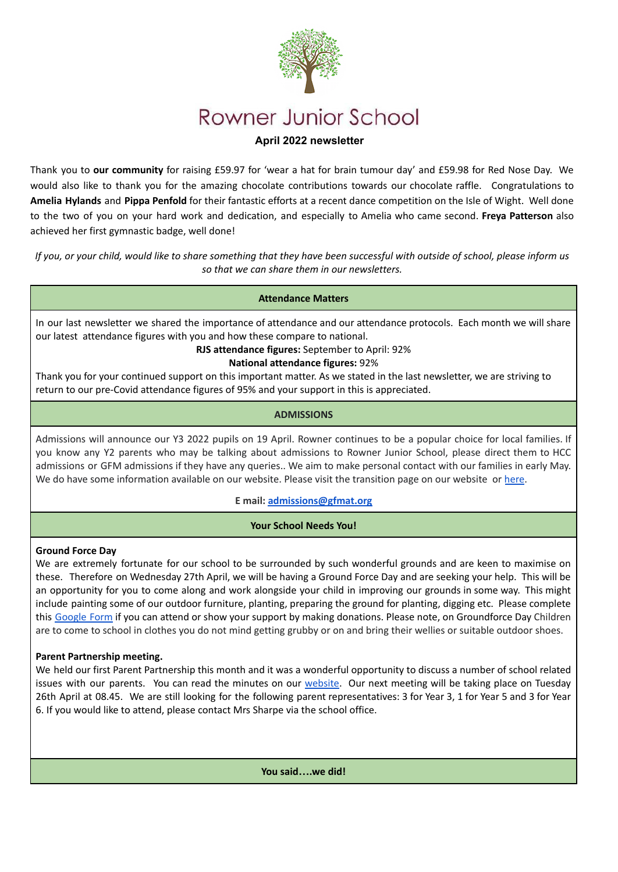

# Rowner Junior School

# **April 2022 newsletter**

Thank you to **our community** for raising £59.97 for 'wear a hat for brain tumour day' and £59.98 for Red Nose Day. We would also like to thank you for the amazing chocolate contributions towards our chocolate raffle. Congratulations to **Amelia Hylands** and **Pippa Penfold** for their fantastic efforts at a recent dance competition on the Isle of Wight. Well done to the two of you on your hard work and dedication, and especially to Amelia who came second. **Freya Patterson** also achieved her first gymnastic badge, well done!

*If you, or your child, would like to share something that they have been successful with outside of school, please inform us so that we can share them in our newsletters.*

#### **Attendance Matters**

In our last newsletter we shared the importance of attendance and our attendance protocols. Each month we will share our latest attendance figures with you and how these compare to national.

#### **RJS attendance figures:** September to April: 92%

#### **National attendance figures:** 92%

Thank you for your continued support on this important matter. As we stated in the last newsletter, we are striving to return to our pre-Covid attendance figures of 95% and your support in this is appreciated.

#### **ADMISSIONS**

Admissions will announce our Y3 2022 pupils on 19 April. Rowner continues to be a popular choice for local families. If you know any Y2 parents who may be talking about admissions to Rowner Junior School, please direct them to HCC admissions or GFM admissions if they have any queries.. We aim to make personal contact with our families in early May. We do have some information available on our website. Please visit the transition page on our website or [here](https://sites.google.com/rowner.gfmat.org/gfmprimarytransition/rowner-junior).

#### **E mail: [admissions@gfmat.org](mailto:admissions@gfmat.org)**

#### **Your School Needs You!**

#### **Ground Force Day**

We are extremely fortunate for our school to be surrounded by such wonderful grounds and are keen to maximise on these. Therefore on Wednesday 27th April, we will be having a Ground Force Day and are seeking your help. This will be an opportunity for you to come along and work alongside your child in improving our grounds in some way. This might include painting some of our outdoor furniture, planting, preparing the ground for planting, digging etc. Please complete this [Google](https://docs.google.com/forms/d/1qvBwAGGbgkqJiAlcamLlEGTQYn4fNdVQtUjLDwhKv6g/prefill) Form if you can attend or show your support by making donations. Please note, on Groundforce Day Children are to come to school in clothes you do not mind getting grubby or on and bring their wellies or suitable outdoor shoes.

#### **Parent Partnership meeting.**

We held our first Parent Partnership this month and it was a wonderful opportunity to discuss a number of school related issues with our parents. You can read the minutes on our [website](https://rowner.gfmat.org/parent-partnership-2/). Our next meeting will be taking place on Tuesday 26th April at 08.45. We are still looking for the following parent representatives: 3 for Year 3, 1 for Year 5 and 3 for Year 6. If you would like to attend, please contact Mrs Sharpe via the school office.

**You said….we did!**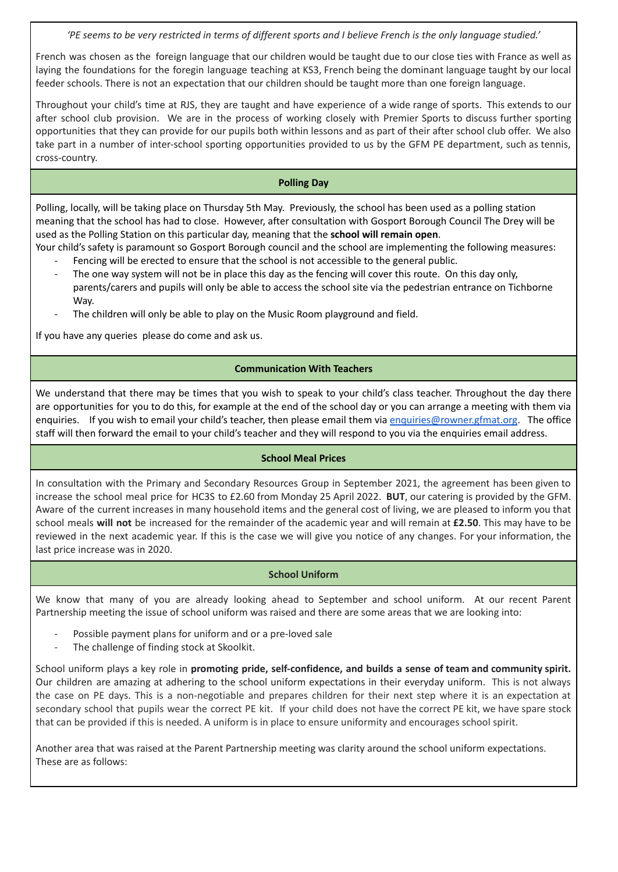*'PE seems to be very restricted in terms of different sports and I believe French is the only language studied.'*

French was chosen as the foreign language that our children would be taught due to our close ties with France as well as laying the foundations for the foregin language teaching at KS3, French being the dominant language taught by our local feeder schools. There is not an expectation that our children should be taught more than one foreign language.

Throughout your child's time at RJS, they are taught and have experience of a wide range of sports. This extends to our after school club provision. We are in the process of working closely with Premier Sports to discuss further sporting opportunities that they can provide for our pupils both within lessons and as part of their after school club offer. We also take part in a number of inter-school sporting opportunities provided to us by the GFM PE department, such as tennis, cross-country.

## **Polling Day**

Polling, locally, will be taking place on Thursday 5th May. Previously, the school has been used as a polling station meaning that the school has had to close. However, after consultation with Gosport Borough Council The Drey will be used as the Polling Station on this particular day, meaning that the **school will remain open**.

- Your child's safety is paramount so Gosport Borough council and the school are implementing the following measures: Fencing will be erected to ensure that the school is not accessible to the general public.
	- The one way system will not be in place this day as the fencing will cover this route. On this day only, parents/carers and pupils will only be able to access the school site via the pedestrian entrance on Tichborne Way.
	- The children will only be able to play on the Music Room playground and field.

If you have any queries please do come and ask us.

## **Communication With Teachers**

We understand that there may be times that you wish to speak to your child's class teacher. Throughout the day there are opportunities for you to do this, for example at the end of the school day or you can arrange a meeting with them via enquiries. If you wish to email your child's teacher, then please email them via [enquiries@rowner.gfmat.org](mailto:enquiries@rowner.gfmat.org). The office staff will then forward the email to your child's teacher and they will respond to you via the enquiries email address.

#### **School Meal Prices**

In consultation with the Primary and Secondary Resources Group in September 2021, the agreement has been given to increase the school meal price for HC3S to £2.60 from Monday 25 April 2022. **BUT**, our catering is provided by the GFM. Aware of the current increases in many household items and the general cost of living, we are pleased to inform you that school meals **will not** be increased for the remainder of the academic year and will remain at **£2.50**. This may have to be reviewed in the next academic year. If this is the case we will give you notice of any changes. For your information, the last price increase was in 2020.

#### **School Uniform**

We know that many of you are already looking ahead to September and school uniform. At our recent Parent Partnership meeting the issue of school uniform was raised and there are some areas that we are looking into:

- Possible payment plans for uniform and or a pre-loved sale
- The challenge of finding stock at Skoolkit.

School uniform plays a key role in **promoting pride, self-confidence, and builds a sense of team and community spirit.** Our children are amazing at adhering to the school uniform expectations in their everyday uniform. This is not always the case on PE days. This is a non-negotiable and prepares children for their next step where it is an expectation at secondary school that pupils wear the correct PE kit. If your child does not have the correct PE kit, we have spare stock that can be provided if this is needed. A uniform is in place to ensure uniformity and encourages school spirit.

Another area that was raised at the Parent Partnership meeting was clarity around the school uniform expectations. These are as follows: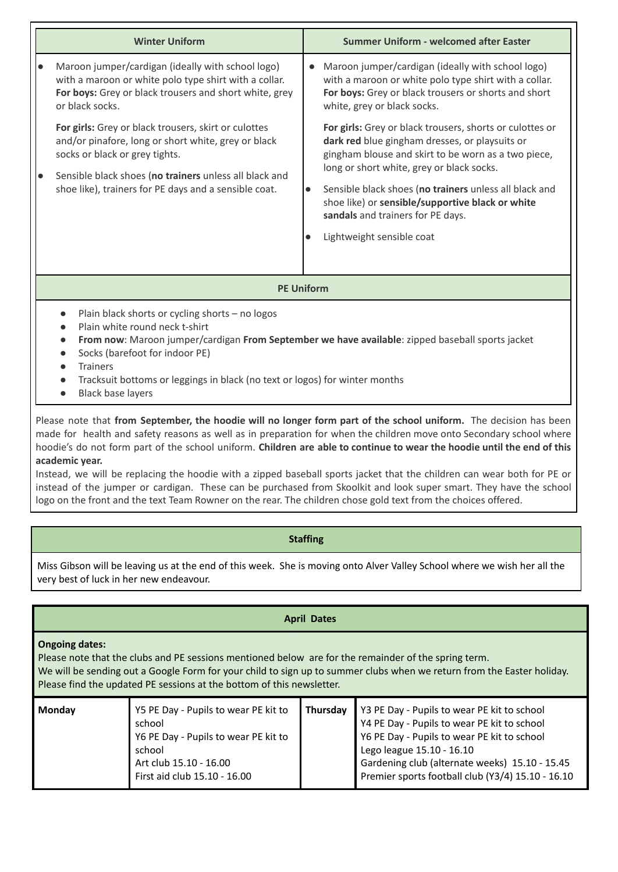|           | <b>Winter Uniform</b>                                                                                                                                                                                                                                                   |                        | <b>Summer Uniform - welcomed after Easter</b>                                                                                                                                                                                                                                                                                                                                                         |  |  |
|-----------|-------------------------------------------------------------------------------------------------------------------------------------------------------------------------------------------------------------------------------------------------------------------------|------------------------|-------------------------------------------------------------------------------------------------------------------------------------------------------------------------------------------------------------------------------------------------------------------------------------------------------------------------------------------------------------------------------------------------------|--|--|
| $\bullet$ | Maroon jumper/cardigan (ideally with school logo)<br>with a maroon or white polo type shirt with a collar.<br>For boys: Grey or black trousers and short white, grey<br>or black socks.                                                                                 | $\bullet$              | Maroon jumper/cardigan (ideally with school logo)<br>with a maroon or white polo type shirt with a collar.<br>For boys: Grey or black trousers or shorts and short<br>white, grey or black socks.                                                                                                                                                                                                     |  |  |
| I۰        | <b>For girls:</b> Grey or black trousers, skirt or culottes<br>and/or pinafore, long or short white, grey or black<br>socks or black or grey tights.<br>Sensible black shoes (no trainers unless all black and<br>shoe like), trainers for PE days and a sensible coat. | $\bullet$<br>$\bullet$ | <b>For girls:</b> Grey or black trousers, shorts or culottes or<br>dark red blue gingham dresses, or playsuits or<br>gingham blouse and skirt to be worn as a two piece,<br>long or short white, grey or black socks.<br>Sensible black shoes (no trainers unless all black and<br>shoe like) or sensible/supportive black or white<br>sandals and trainers for PE days.<br>Lightweight sensible coat |  |  |
|           |                                                                                                                                                                                                                                                                         |                        |                                                                                                                                                                                                                                                                                                                                                                                                       |  |  |
|           | <b>PE Uniform</b>                                                                                                                                                                                                                                                       |                        |                                                                                                                                                                                                                                                                                                                                                                                                       |  |  |

- Plain black shorts or cycling shorts no logos
- Plain white round neck t-shirt
- **From now**: Maroon jumper/cardigan **From September we have available**: zipped baseball sports jacket
- Socks (barefoot for indoor PE)
- Trainers
- Tracksuit bottoms or leggings in black (no text or logos) for winter months
- Black base layers

Please note that **from September, the hoodie will no longer form part of the school uniform.** The decision has been made for health and safety reasons as well as in preparation for when the children move onto Secondary school where hoodie's do not form part of the school uniform. **Children are able to continue to wear the hoodie until the end of this academic year.**

Instead, we will be replacing the hoodie with a zipped baseball sports jacket that the children can wear both for PE or instead of the jumper or cardigan. These can be purchased from Skoolkit and look super smart. They have the school logo on the front and the text Team Rowner on the rear. The children chose gold text from the choices offered.

#### **Staffing**

Miss Gibson will be leaving us at the end of this week. She is moving onto Alver Valley School where we wish her all the very best of luck in her new endeavour.

#### **April Dates**

#### **Ongoing dates:**

Please note that the clubs and PE sessions mentioned below are for the remainder of the spring term. We will be sending out a Google Form for your child to sign up to summer clubs when we return from the Easter holiday. Please find the updated PE sessions at the bottom of this newsletter.

| Y5 PE Day - Pupils to wear PE kit to<br>Thursday<br>Monday<br>school<br>Y6 PE Day - Pupils to wear PE kit to<br>school<br>Art club 15.10 - 16.00<br>First aid club 15.10 - 16.00 | Y3 PE Day - Pupils to wear PE kit to school<br>Y4 PE Day - Pupils to wear PE kit to school<br>Y6 PE Day - Pupils to wear PE kit to school<br>Lego league 15.10 - 16.10<br>Gardening club (alternate weeks) 15.10 - 15.45<br>Premier sports football club (Y3/4) 15.10 - 16.10 |
|----------------------------------------------------------------------------------------------------------------------------------------------------------------------------------|-------------------------------------------------------------------------------------------------------------------------------------------------------------------------------------------------------------------------------------------------------------------------------|
|----------------------------------------------------------------------------------------------------------------------------------------------------------------------------------|-------------------------------------------------------------------------------------------------------------------------------------------------------------------------------------------------------------------------------------------------------------------------------|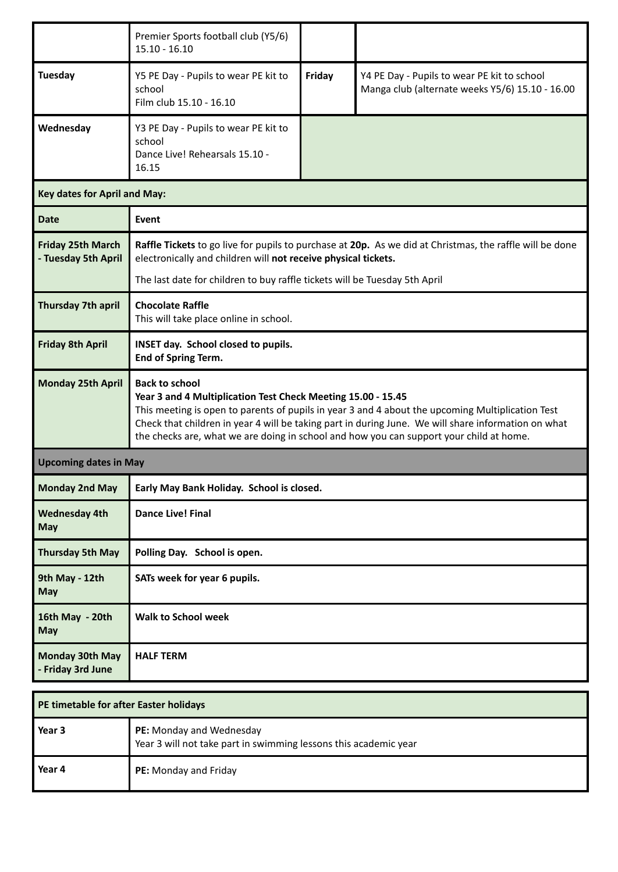|                                                              | Premier Sports football club (Y5/6)<br>$15.10 - 16.10$                                                                                                                                                                                                                                                                                                                                      |        |                                                                                                |  |  |  |
|--------------------------------------------------------------|---------------------------------------------------------------------------------------------------------------------------------------------------------------------------------------------------------------------------------------------------------------------------------------------------------------------------------------------------------------------------------------------|--------|------------------------------------------------------------------------------------------------|--|--|--|
| <b>Tuesday</b>                                               | Y5 PE Day - Pupils to wear PE kit to<br>school<br>Film club 15.10 - 16.10                                                                                                                                                                                                                                                                                                                   | Friday | Y4 PE Day - Pupils to wear PE kit to school<br>Manga club (alternate weeks Y5/6) 15.10 - 16.00 |  |  |  |
| Wednesday                                                    | Y3 PE Day - Pupils to wear PE kit to<br>school<br>Dance Live! Rehearsals 15.10 -<br>16.15                                                                                                                                                                                                                                                                                                   |        |                                                                                                |  |  |  |
|                                                              | <b>Key dates for April and May:</b>                                                                                                                                                                                                                                                                                                                                                         |        |                                                                                                |  |  |  |
| <b>Date</b>                                                  | Event                                                                                                                                                                                                                                                                                                                                                                                       |        |                                                                                                |  |  |  |
| <b>Friday 25th March</b><br>- Tuesday 5th April              | Raffle Tickets to go live for pupils to purchase at 20p. As we did at Christmas, the raffle will be done<br>electronically and children will not receive physical tickets.<br>The last date for children to buy raffle tickets will be Tuesday 5th April                                                                                                                                    |        |                                                                                                |  |  |  |
| Thursday 7th april                                           | <b>Chocolate Raffle</b><br>This will take place online in school.                                                                                                                                                                                                                                                                                                                           |        |                                                                                                |  |  |  |
| <b>Friday 8th April</b>                                      | INSET day. School closed to pupils.<br>End of Spring Term.                                                                                                                                                                                                                                                                                                                                  |        |                                                                                                |  |  |  |
| <b>Monday 25th April</b>                                     | <b>Back to school</b><br>Year 3 and 4 Multiplication Test Check Meeting 15.00 - 15.45<br>This meeting is open to parents of pupils in year 3 and 4 about the upcoming Multiplication Test<br>Check that children in year 4 will be taking part in during June. We will share information on what<br>the checks are, what we are doing in school and how you can support your child at home. |        |                                                                                                |  |  |  |
| <b>Upcoming dates in May</b>                                 |                                                                                                                                                                                                                                                                                                                                                                                             |        |                                                                                                |  |  |  |
| <b>Monday 2nd May</b>                                        | Early May Bank Holiday. School is closed.                                                                                                                                                                                                                                                                                                                                                   |        |                                                                                                |  |  |  |
| <b>Wednesday 4th</b><br><b>May</b>                           | <b>Dance Live! Final</b>                                                                                                                                                                                                                                                                                                                                                                    |        |                                                                                                |  |  |  |
| <b>Thursday 5th May</b>                                      | Polling Day. School is open.                                                                                                                                                                                                                                                                                                                                                                |        |                                                                                                |  |  |  |
| 9th May - 12th<br>SATs week for year 6 pupils.<br><b>May</b> |                                                                                                                                                                                                                                                                                                                                                                                             |        |                                                                                                |  |  |  |
| 16th May - 20th<br><b>May</b>                                | <b>Walk to School week</b>                                                                                                                                                                                                                                                                                                                                                                  |        |                                                                                                |  |  |  |
| <b>Monday 30th May</b><br>- Friday 3rd June                  | <b>HALF TERM</b>                                                                                                                                                                                                                                                                                                                                                                            |        |                                                                                                |  |  |  |

| PE timetable for after Easter holidays |                                                                                              |  |
|----------------------------------------|----------------------------------------------------------------------------------------------|--|
| Year 3                                 | PE: Monday and Wednesday<br>Year 3 will not take part in swimming lessons this academic year |  |
| Year 4                                 | PE: Monday and Friday                                                                        |  |